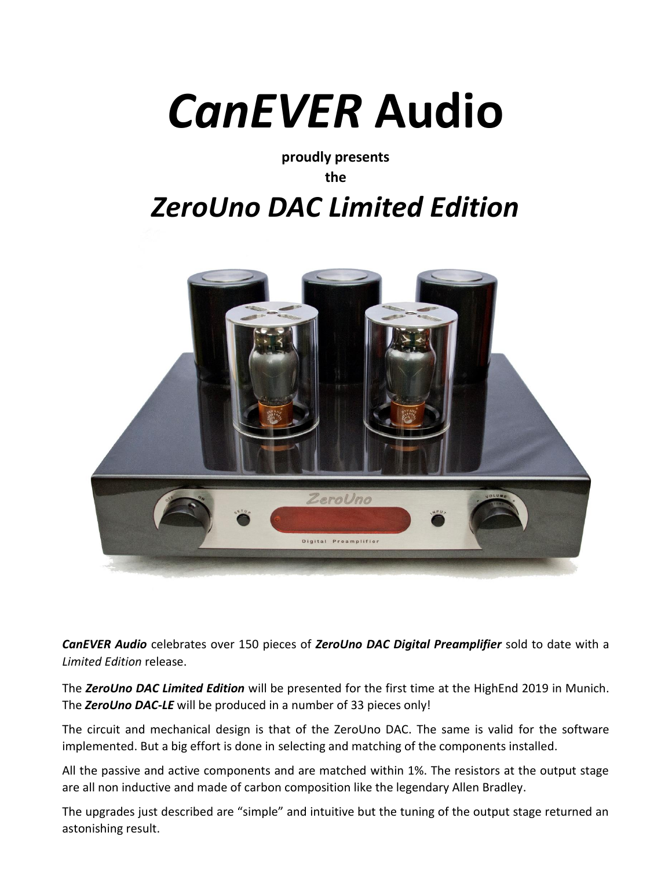## *CanEVER* **Audio**

**proudly presents the** 

## *ZeroUno DAC Limited Edition*



*CanEVER Audio* celebrates over 150 pieces of *ZeroUno DAC Digital Preamplifier* sold to date with a *Limited Edition* release.

The *ZeroUno DAC Limited Edition* will be presented for the first time at the HighEnd 2019 in Munich. The *ZeroUno DAC-LE* will be produced in a number of 33 pieces only!

The circuit and mechanical design is that of the ZeroUno DAC. The same is valid for the software implemented. But a big effort is done in selecting and matching of the components installed.

All the passive and active components and are matched within 1%. The resistors at the output stage are all non inductive and made of carbon composition like the legendary Allen Bradley.

The upgrades just described are "simple" and intuitive but the tuning of the output stage returned an astonishing result.